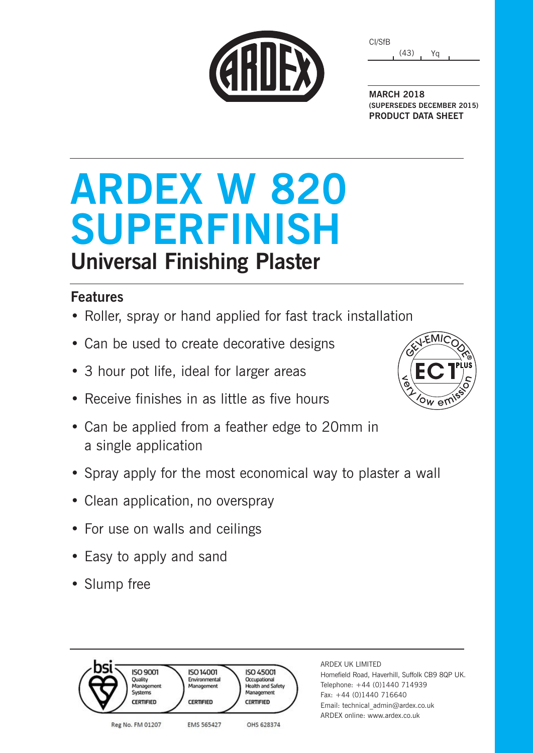| CARDE |  |  |
|-------|--|--|
|       |  |  |

(43) Yq CI/SfB

**MARCH 2018 (SUPERSEDES DECEMBER 2015) PRODUCT DATA SHEET**

# **ARDEX W 820 SUPERFINISH Universal Finishing Plaster**

### **Features**

- Roller, spray or hand applied for fast track installation
- Can be used to create decorative designs
- 3 hour pot life, ideal for larger areas
- Receive finishes in as little as five hours

**ISO 14001** 

Environmental

Management

**CERTIFIED** 

**FMS 565427** 

- Can be applied from a feather edge to 20mm in a single application
- Spray apply for the most economical way to plaster a wall

**ISO 45001** 

Occupational **Health and Safety** 

Management

OHS 628374

**CERTIFIED** 

- Clean application, no overspray
- For use on walls and ceilings
- Easy to apply and sand

**ISO 9001** 

Management

Quality

Systems

Reg No. FM 01207

CERTIFIED

• Slump free



### ARDEX UK LIMITED Homefield Road, Haverhill, Suffolk CB9 8QP UK.

Telephone: +44 (0)1440 714939 Fax: +44 (0)1440 716640 Email: technical\_admin@ardex.co.uk ARDEX online: www.ardex.co.uk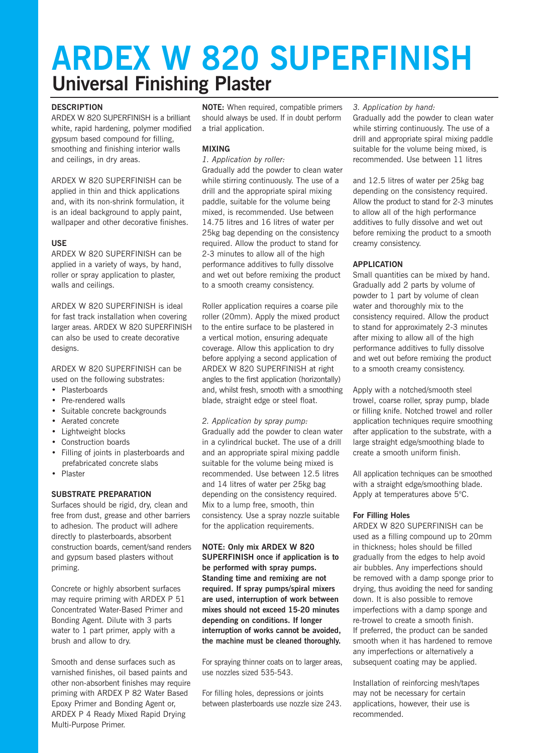## **ARDEX W 820 SUPERFINISH Universal Finishing Plaster**

### **DESCRIPTION**

ARDEX W 820 SUPERFINISH is a brilliant white, rapid hardening, polymer modified gypsum based compound for filling, smoothing and finishing interior walls and ceilings, in dry areas.

ARDEX W 820 SUPERFINISH can be applied in thin and thick applications and, with its non-shrink formulation, it is an ideal background to apply paint, wallpaper and other decorative finishes.

### **USE**

ARDEX W 820 SUPERFINISH can be applied in a variety of ways, by hand, roller or spray application to plaster, walls and ceilings.

ARDEX W 820 SUPERFINISH is ideal for fast track installation when covering larger areas. ARDEX W 820 SUPERFINISH can also be used to create decorative designs.

ARDEX W 820 SUPERFINISH can be used on the following substrates:

- Plasterboards
- Pre-rendered walls
- Suitable concrete backgrounds
- Aerated concrete
- Lightweight blocks
- Construction boards
- Filling of joints in plasterboards and prefabricated concrete slabs
- Plaster

### **SUBSTRATE PREPARATION**

Surfaces should be rigid, dry, clean and free from dust, grease and other barriers to adhesion. The product will adhere directly to plasterboards, absorbent construction boards, cement/sand renders and gypsum based plasters without priming.

Concrete or highly absorbent surfaces may require priming with ARDEX P 51 Concentrated Water-Based Primer and Bonding Agent. Dilute with 3 parts water to 1 part primer, apply with a brush and allow to dry.

Smooth and dense surfaces such as varnished finishes, oil based paints and other non-absorbent finishes may require priming with ARDEX P 82 Water Based Epoxy Primer and Bonding Agent or, ARDEX P 4 Ready Mixed Rapid Drying Multi-Purpose Primer.

**NOTE:** When required, compatible primers should always be used. If in doubt perform a trial application.

### **MIXING**

*1. Application by roller:*

Gradually add the powder to clean water while stirring continuously. The use of a drill and the appropriate spiral mixing paddle, suitable for the volume being mixed, is recommended. Use between 14.75 litres and 16 litres of water per 25kg bag depending on the consistency required. Allow the product to stand for 2-3 minutes to allow all of the high performance additives to fully dissolve and wet out before remixing the product to a smooth creamy consistency.

Roller application requires a coarse pile roller (20mm). Apply the mixed product to the entire surface to be plastered in a vertical motion, ensuring adequate coverage. Allow this application to dry before applying a second application of ARDEX W 820 SUPERFINISH at right angles to the first application (horizontally) and, whilst fresh, smooth with a smoothing blade, straight edge or steel float.

### *2. Application by spray pump:*

Gradually add the powder to clean water in a cylindrical bucket. The use of a drill and an appropriate spiral mixing paddle suitable for the volume being mixed is recommended. Use between 12.5 litres and 14 litres of water per 25kg bag depending on the consistency required. Mix to a lump free, smooth, thin consistency. Use a spray nozzle suitable for the application requirements.

**NOTE: Only mix ARDEX W 820 SUPERFINISH once if application is to be performed with spray pumps. Standing time and remixing are not required. If spray pumps/spiral mixers are used, interruption of work between mixes should not exceed 15-20 minutes depending on conditions. If longer interruption of works cannot be avoided, the machine must be cleaned thoroughly.**

For spraying thinner coats on to larger areas, use nozzles sized 535-543.

For filling holes, depressions or joints between plasterboards use nozzle size 243.

### *3. Application by hand:*

Gradually add the powder to clean water while stirring continuously. The use of a drill and appropriate spiral mixing paddle suitable for the volume being mixed, is recommended. Use between 11 litres

and 12.5 litres of water per 25kg bag depending on the consistency required. Allow the product to stand for 2-3 minutes to allow all of the high performance additives to fully dissolve and wet out before remixing the product to a smooth creamy consistency.

### **APPLICATION**

Small quantities can be mixed by hand. Gradually add 2 parts by volume of powder to 1 part by volume of clean water and thoroughly mix to the consistency required. Allow the product to stand for approximately 2-3 minutes after mixing to allow all of the high performance additives to fully dissolve and wet out before remixing the product to a smooth creamy consistency.

Apply with a notched/smooth steel trowel, coarse roller, spray pump, blade or filling knife. Notched trowel and roller application techniques require smoothing after application to the substrate, with a large straight edge/smoothing blade to create a smooth uniform finish.

All application techniques can be smoothed with a straight edge/smoothing blade. Apply at temperatures above 5°C.

### **For Filling Holes**

ARDEX W 820 SUPERFINISH can be used as a filling compound up to 20mm in thickness; holes should be filled gradually from the edges to help avoid air bubbles. Any imperfections should be removed with a damp sponge prior to drying, thus avoiding the need for sanding down. It is also possible to remove imperfections with a damp sponge and re-trowel to create a smooth finish. If preferred, the product can be sanded smooth when it has hardened to remove any imperfections or alternatively a subsequent coating may be applied.

Installation of reinforcing mesh/tapes may not be necessary for certain applications, however, their use is recommended.